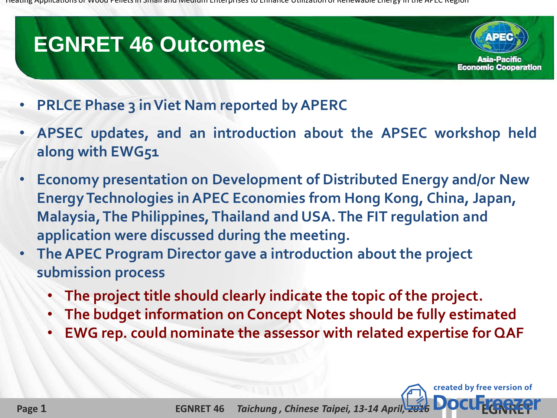# **EGNRET 46 Outcomes**



created by free version of

- **PRLCE Phase 3 inViet Nam reported byAPERC**
- **APSEC updates, and an introduction about the APSEC workshop held along with EWG51**
- **Economy presentation on Development of Distributed Energy and/or New Energy Technologies in APEC Economies from Hong Kong, China, Japan, Malaysia, The Philippines, Thailand and USA. The FIT regulation and application were discussed during the meeting.**
- **The APEC Program Director gave a introduction about the project submission process** 
	- **The project title should clearly indicate the topic of the project.**
	- **The budget information on Concept Notes should be fully estimated**
	- **EWG rep. could nominate the assessor with related expertise for QAF**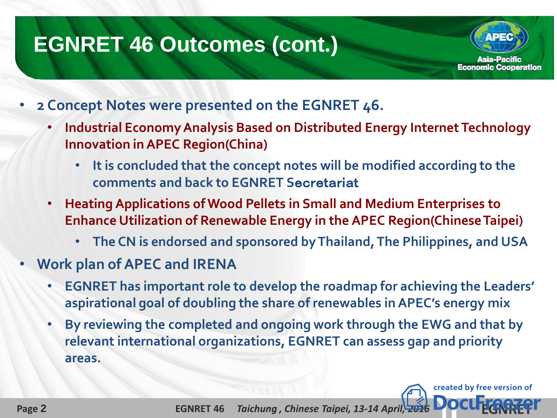## **EGNRET 46 Outcomes (cont.)**

Asia-Pacific **Economic Cooperation** 

created by free version of

- **2 Concept Notes were presented on the EGNRET 46.**
	- **Industrial Economy Analysis Based on Distributed Energy Internet Technology Innovation in APEC Region(China)**
		- **It is concluded that the concept notes will be modified according to the comments and back to EGNRET S**ecretariat
	- **Heating Applications of Wood Pellets in Small and Medium Enterprises to Enhance Utilization of Renewable Energy in the APEC Region(Chinese Taipei)**
		- **The CN is endorsed and sponsored by Thailand, The Philippines, and USA**
- **Work plan of APEC and IRENA**
	- **EGNRET has important role to develop the roadmap for achieving the Leaders' aspirational goal of doubling the share of renewables in APEC's energy mix**
	- **By reviewing the completed and ongoing work through the EWG and that by relevant international organizations, EGNRET can assess gap and priority areas.**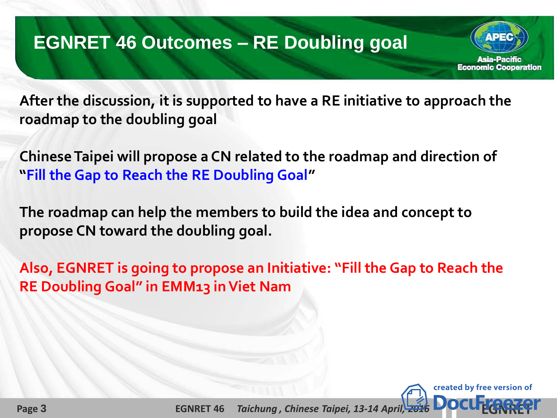#### **EGNRET 46 Outcomes – RE Doubling goal**

Economic Cooperation

created by free version of

**After the discussion, it is supported to have a RE initiative to approach the roadmap to the doubling goal**

**Chinese Taipei will propose a CN related to the roadmap and direction of "Fill the Gap to Reach the RE Doubling Goal"**

**The roadmap can help the members to build the idea and concept to propose CN toward the doubling goal.**

**Also, EGNRET is going to propose an Initiative: "Fill the Gap to Reach the RE Doubling Goal" in EMM13 in Viet Nam**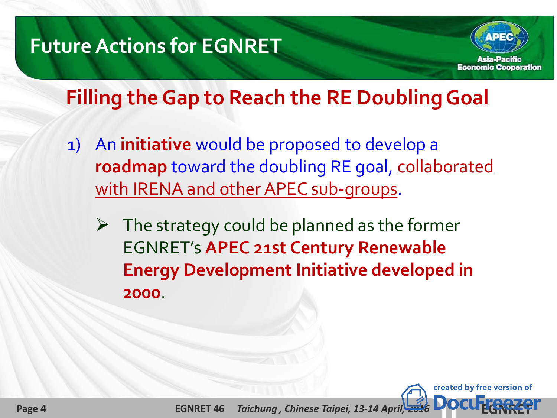#### **Future Actions for EGNRET**



created by free version of

#### **Filling the Gap to Reach the RE Doubling Goal**

- 1) An **initiative** would be proposed to develop a **roadmap** toward the doubling RE goal, collaborated with IRENA and other APEC sub-groups.
	- $\triangleright$  The strategy could be planned as the former EGNRET's **APEC 21st Century Renewable Energy Development Initiative developed in 2000**.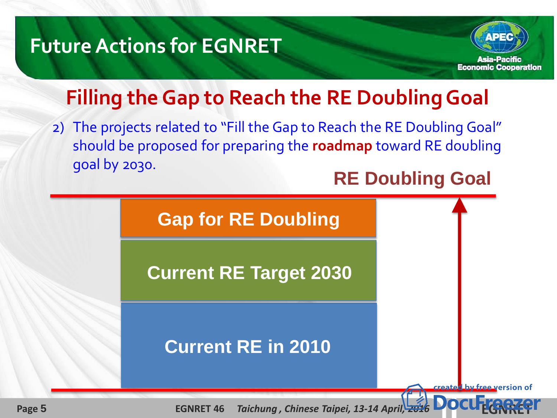#### **Future Actions for EGNRET**



#### **Filling the Gap to Reach the RE Doubling Goal**

2) The projects related to "Fill the Gap to Reach the RE Doubling Goal" should be proposed for preparing the **roadmap** toward RE doubling goal by 2030.

#### **RE Doubling Goal**